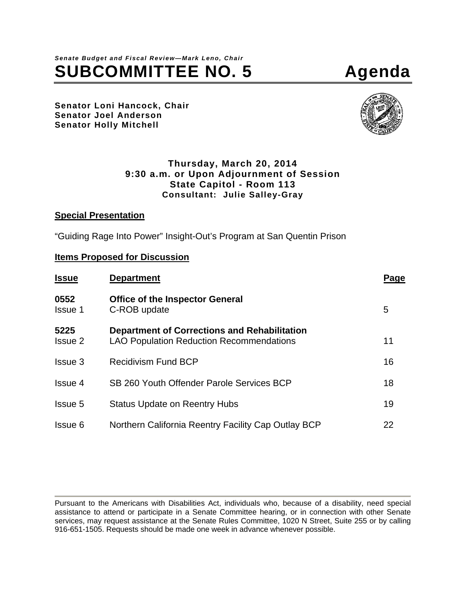# *Senate Budget and Fiscal Review—Mark Leno, Chair* SUBCOMMITTEE NO. 5 Agenda

**Senator Loni Hancock, Chair Senator Joel Anderson Senator Holly Mitchell** 



#### **Thursday, March 20, 2014 9:30 a.m. or Upon Adjournment of Session State Capitol - Room 113 Consultant: Julie Salley-Gray**

#### **Special Presentation**

"Guiding Rage Into Power" Insight-Out's Program at San Quentin Prison

#### **Items Proposed for Discussion**

| <b>Issue</b>           | <b>Department</b>                                                                               | Page |
|------------------------|-------------------------------------------------------------------------------------------------|------|
| 0552<br><b>Issue 1</b> | <b>Office of the Inspector General</b><br>C-ROB update                                          | 5    |
| 5225<br><b>Issue 2</b> | Department of Corrections and Rehabilitation<br><b>LAO Population Reduction Recommendations</b> | 11   |
| Issue 3                | <b>Recidivism Fund BCP</b>                                                                      | 16   |
| Issue 4                | SB 260 Youth Offender Parole Services BCP                                                       | 18   |
| <b>Issue 5</b>         | <b>Status Update on Reentry Hubs</b>                                                            | 19   |
| Issue 6                | Northern California Reentry Facility Cap Outlay BCP                                             | 22   |

Pursuant to the Americans with Disabilities Act, individuals who, because of a disability, need special assistance to attend or participate in a Senate Committee hearing, or in connection with other Senate services, may request assistance at the Senate Rules Committee, 1020 N Street, Suite 255 or by calling 916-651-1505. Requests should be made one week in advance whenever possible.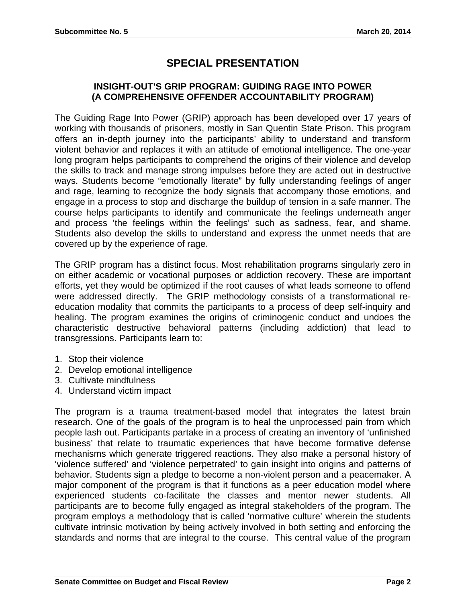## **SPECIAL PRESENTATION**

### **INSIGHT-OUT'S GRIP PROGRAM: GUIDING RAGE INTO POWER (A COMPREHENSIVE OFFENDER ACCOUNTABILITY PROGRAM)**

The Guiding Rage Into Power (GRIP) approach has been developed over 17 years of working with thousands of prisoners, mostly in San Quentin State Prison. This program offers an in-depth journey into the participants' ability to understand and transform violent behavior and replaces it with an attitude of emotional intelligence. The one-year long program helps participants to comprehend the origins of their violence and develop the skills to track and manage strong impulses before they are acted out in destructive ways. Students become "emotionally literate" by fully understanding feelings of anger and rage, learning to recognize the body signals that accompany those emotions, and engage in a process to stop and discharge the buildup of tension in a safe manner. The course helps participants to identify and communicate the feelings underneath anger and process 'the feelings within the feelings' such as sadness, fear, and shame. Students also develop the skills to understand and express the unmet needs that are covered up by the experience of rage.

The GRIP program has a distinct focus. Most rehabilitation programs singularly zero in on either academic or vocational purposes or addiction recovery. These are important efforts, yet they would be optimized if the root causes of what leads someone to offend were addressed directly. The GRIP methodology consists of a transformational reeducation modality that commits the participants to a process of deep self-inquiry and healing. The program examines the origins of criminogenic conduct and undoes the characteristic destructive behavioral patterns (including addiction) that lead to transgressions. Participants learn to:

- 1. Stop their violence
- 2. Develop emotional intelligence
- 3. Cultivate mindfulness
- 4. Understand victim impact

The program is a trauma treatment-based model that integrates the latest brain research. One of the goals of the program is to heal the unprocessed pain from which people lash out. Participants partake in a process of creating an inventory of 'unfinished business' that relate to traumatic experiences that have become formative defense mechanisms which generate triggered reactions. They also make a personal history of 'violence suffered' and 'violence perpetrated' to gain insight into origins and patterns of behavior. Students sign a pledge to become a non-violent person and a peacemaker. A major component of the program is that it functions as a peer education model where experienced students co-facilitate the classes and mentor newer students. All participants are to become fully engaged as integral stakeholders of the program. The program employs a methodology that is called 'normative culture' wherein the students cultivate intrinsic motivation by being actively involved in both setting and enforcing the standards and norms that are integral to the course. This central value of the program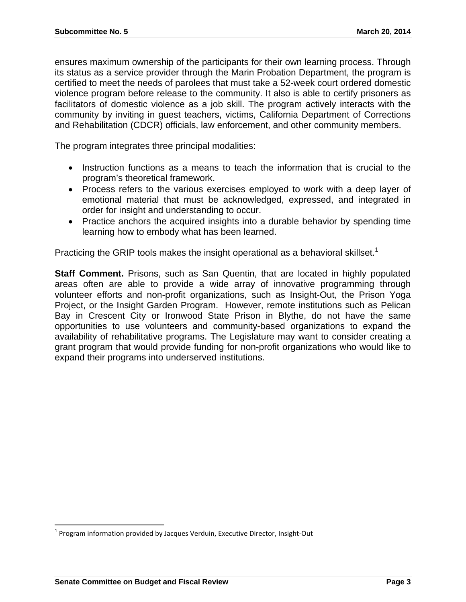ensures maximum ownership of the participants for their own learning process. Through its status as a service provider through the Marin Probation Department, the program is certified to meet the needs of parolees that must take a 52-week court ordered domestic violence program before release to the community. It also is able to certify prisoners as facilitators of domestic violence as a job skill. The program actively interacts with the community by inviting in guest teachers, victims, California Department of Corrections and Rehabilitation (CDCR) officials, law enforcement, and other community members.

The program integrates three principal modalities:

- Instruction functions as a means to teach the information that is crucial to the program's theoretical framework.
- Process refers to the various exercises employed to work with a deep layer of emotional material that must be acknowledged, expressed, and integrated in order for insight and understanding to occur.
- Practice anchors the acquired insights into a durable behavior by spending time learning how to embody what has been learned.

Practicing the GRIP tools makes the insight operational as a behavioral skillset.<sup>1</sup>

**Staff Comment.** Prisons, such as San Quentin, that are located in highly populated areas often are able to provide a wide array of innovative programming through volunteer efforts and non-profit organizations, such as Insight-Out, the Prison Yoga Project, or the Insight Garden Program. However, remote institutions such as Pelican Bay in Crescent City or Ironwood State Prison in Blythe, do not have the same opportunities to use volunteers and community-based organizations to expand the availability of rehabilitative programs. The Legislature may want to consider creating a grant program that would provide funding for non-profit organizations who would like to expand their programs into underserved institutions.

 $^1$  Program information provided by Jacques Verduin, Executive Director, Insight-Out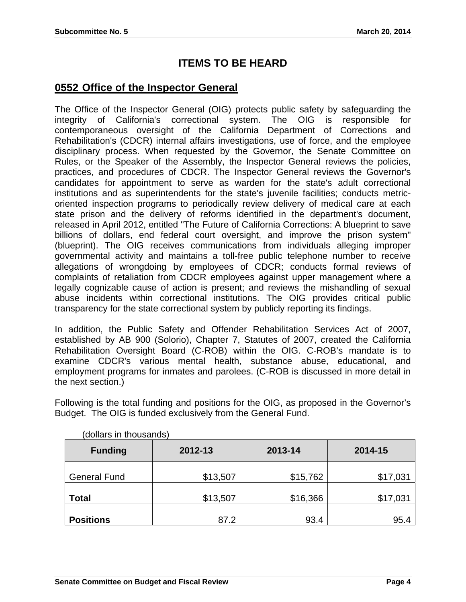## **ITEMS TO BE HEARD**

## **0552 Office of the Inspector General**

The Office of the Inspector General (OIG) protects public safety by safeguarding the integrity of California's correctional system. The OIG is responsible for contemporaneous oversight of the California Department of Corrections and Rehabilitation's (CDCR) internal affairs investigations, use of force, and the employee disciplinary process. When requested by the Governor, the Senate Committee on Rules, or the Speaker of the Assembly, the Inspector General reviews the policies, practices, and procedures of CDCR. The Inspector General reviews the Governor's candidates for appointment to serve as warden for the state's adult correctional institutions and as superintendents for the state's juvenile facilities; conducts metricoriented inspection programs to periodically review delivery of medical care at each state prison and the delivery of reforms identified in the department's document, released in April 2012, entitled "The Future of California Corrections: A blueprint to save billions of dollars, end federal court oversight, and improve the prison system" (blueprint). The OIG receives communications from individuals alleging improper governmental activity and maintains a toll-free public telephone number to receive allegations of wrongdoing by employees of CDCR; conducts formal reviews of complaints of retaliation from CDCR employees against upper management where a legally cognizable cause of action is present; and reviews the mishandling of sexual abuse incidents within correctional institutions. The OIG provides critical public transparency for the state correctional system by publicly reporting its findings.

In addition, the Public Safety and Offender Rehabilitation Services Act of 2007, established by AB 900 (Solorio), Chapter 7, Statutes of 2007, created the California Rehabilitation Oversight Board (C-ROB) within the OIG. C-ROB's mandate is to examine CDCR's various mental health, substance abuse, educational, and employment programs for inmates and parolees. (C-ROB is discussed in more detail in the next section.)

Following is the total funding and positions for the OIG, as proposed in the Governor's Budget. The OIG is funded exclusively from the General Fund.

| <b>Funding</b>      | 2012-13  | 2013-14  | 2014-15  |
|---------------------|----------|----------|----------|
| <b>General Fund</b> | \$13,507 | \$15,762 | \$17,031 |
| <b>Total</b>        | \$13,507 | \$16,366 | \$17,031 |
| <b>Positions</b>    | 87.2     | 93.4     | 95.4     |

(dollars in thousands)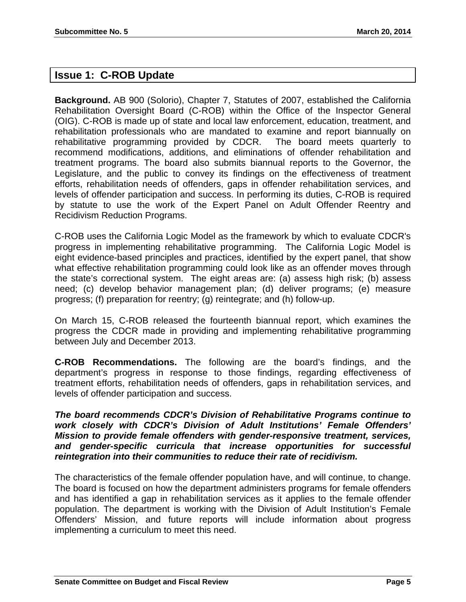## **Issue 1: C-ROB Update**

**Background.** AB 900 (Solorio), Chapter 7, Statutes of 2007, established the California Rehabilitation Oversight Board (C-ROB) within the Office of the Inspector General (OIG). C-ROB is made up of state and local law enforcement, education, treatment, and rehabilitation professionals who are mandated to examine and report biannually on rehabilitative programming provided by CDCR. The board meets quarterly to recommend modifications, additions, and eliminations of offender rehabilitation and treatment programs. The board also submits biannual reports to the Governor, the Legislature, and the public to convey its findings on the effectiveness of treatment efforts, rehabilitation needs of offenders, gaps in offender rehabilitation services, and levels of offender participation and success. In performing its duties, C-ROB is required by statute to use the work of the Expert Panel on Adult Offender Reentry and Recidivism Reduction Programs.

C-ROB uses the California Logic Model as the framework by which to evaluate CDCR's progress in implementing rehabilitative programming. The California Logic Model is eight evidence-based principles and practices, identified by the expert panel, that show what effective rehabilitation programming could look like as an offender moves through the state's correctional system. The eight areas are: (a) assess high risk; (b) assess need; (c) develop behavior management plan; (d) deliver programs; (e) measure progress; (f) preparation for reentry; (g) reintegrate; and (h) follow-up.

On March 15, C-ROB released the fourteenth biannual report, which examines the progress the CDCR made in providing and implementing rehabilitative programming between July and December 2013.

**C-ROB Recommendations.** The following are the board's findings, and the department's progress in response to those findings, regarding effectiveness of treatment efforts, rehabilitation needs of offenders, gaps in rehabilitation services, and levels of offender participation and success.

*The board recommends CDCR's Division of Rehabilitative Programs continue to work closely with CDCR's Division of Adult Institutions' Female Offenders' Mission to provide female offenders with gender-responsive treatment, services, and gender-specific curricula that increase opportunities for successful reintegration into their communities to reduce their rate of recidivism.* 

The characteristics of the female offender population have, and will continue, to change. The board is focused on how the department administers programs for female offenders and has identified a gap in rehabilitation services as it applies to the female offender population. The department is working with the Division of Adult Institution's Female Offenders' Mission, and future reports will include information about progress implementing a curriculum to meet this need.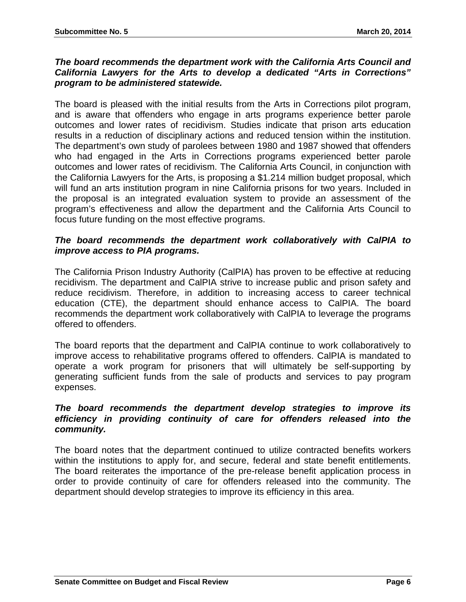#### *The board recommends the department work with the California Arts Council and California Lawyers for the Arts to develop a dedicated "Arts in Corrections" program to be administered statewide.*

The board is pleased with the initial results from the Arts in Corrections pilot program, and is aware that offenders who engage in arts programs experience better parole outcomes and lower rates of recidivism. Studies indicate that prison arts education results in a reduction of disciplinary actions and reduced tension within the institution. The department's own study of parolees between 1980 and 1987 showed that offenders who had engaged in the Arts in Corrections programs experienced better parole outcomes and lower rates of recidivism. The California Arts Council, in conjunction with the California Lawyers for the Arts, is proposing a \$1.214 million budget proposal, which will fund an arts institution program in nine California prisons for two years. Included in the proposal is an integrated evaluation system to provide an assessment of the program's effectiveness and allow the department and the California Arts Council to focus future funding on the most effective programs.

#### *The board recommends the department work collaboratively with CalPIA to improve access to PIA programs.*

The California Prison Industry Authority (CalPIA) has proven to be effective at reducing recidivism. The department and CalPIA strive to increase public and prison safety and reduce recidivism. Therefore, in addition to increasing access to career technical education (CTE), the department should enhance access to CalPIA. The board recommends the department work collaboratively with CalPIA to leverage the programs offered to offenders.

The board reports that the department and CalPIA continue to work collaboratively to improve access to rehabilitative programs offered to offenders. CalPIA is mandated to operate a work program for prisoners that will ultimately be self-supporting by generating sufficient funds from the sale of products and services to pay program expenses.

#### *The board recommends the department develop strategies to improve its efficiency in providing continuity of care for offenders released into the community.*

The board notes that the department continued to utilize contracted benefits workers within the institutions to apply for, and secure, federal and state benefit entitlements. The board reiterates the importance of the pre-release benefit application process in order to provide continuity of care for offenders released into the community. The department should develop strategies to improve its efficiency in this area.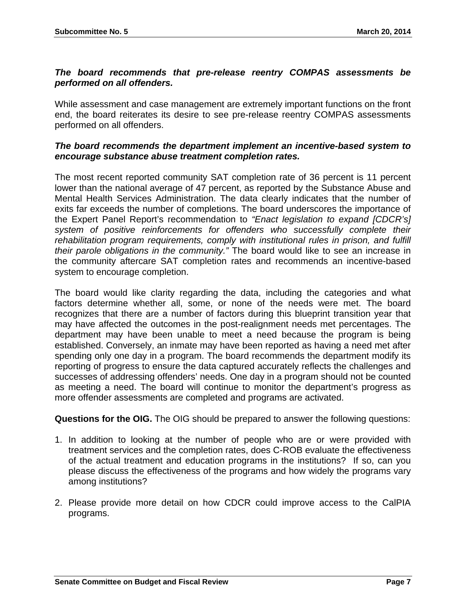#### *The board recommends that pre-release reentry COMPAS assessments be performed on all offenders.*

While assessment and case management are extremely important functions on the front end, the board reiterates its desire to see pre-release reentry COMPAS assessments performed on all offenders.

#### *The board recommends the department implement an incentive-based system to encourage substance abuse treatment completion rates.*

The most recent reported community SAT completion rate of 36 percent is 11 percent lower than the national average of 47 percent, as reported by the Substance Abuse and Mental Health Services Administration. The data clearly indicates that the number of exits far exceeds the number of completions. The board underscores the importance of the Expert Panel Report's recommendation to *"Enact legislation to expand [CDCR's] system of positive reinforcements for offenders who successfully complete their rehabilitation program requirements, comply with institutional rules in prison, and fulfill their parole obligations in the community."* The board would like to see an increase in the community aftercare SAT completion rates and recommends an incentive-based system to encourage completion.

The board would like clarity regarding the data, including the categories and what factors determine whether all, some, or none of the needs were met. The board recognizes that there are a number of factors during this blueprint transition year that may have affected the outcomes in the post-realignment needs met percentages. The department may have been unable to meet a need because the program is being established. Conversely, an inmate may have been reported as having a need met after spending only one day in a program. The board recommends the department modify its reporting of progress to ensure the data captured accurately reflects the challenges and successes of addressing offenders' needs. One day in a program should not be counted as meeting a need. The board will continue to monitor the department's progress as more offender assessments are completed and programs are activated.

#### **Questions for the OIG.** The OIG should be prepared to answer the following questions:

- 1. In addition to looking at the number of people who are or were provided with treatment services and the completion rates, does C-ROB evaluate the effectiveness of the actual treatment and education programs in the institutions? If so, can you please discuss the effectiveness of the programs and how widely the programs vary among institutions?
- 2. Please provide more detail on how CDCR could improve access to the CalPIA programs.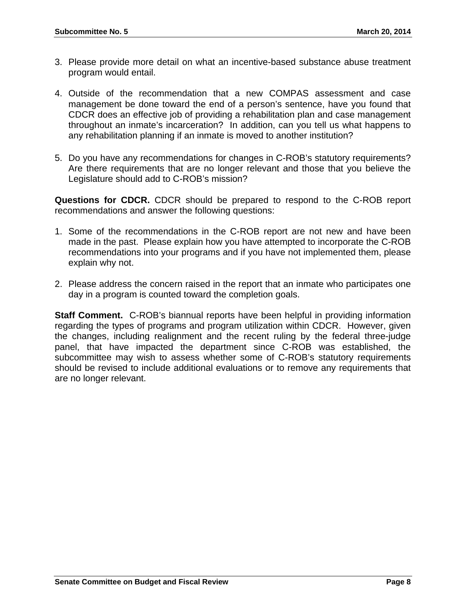- 3. Please provide more detail on what an incentive-based substance abuse treatment program would entail.
- 4. Outside of the recommendation that a new COMPAS assessment and case management be done toward the end of a person's sentence, have you found that CDCR does an effective job of providing a rehabilitation plan and case management throughout an inmate's incarceration? In addition, can you tell us what happens to any rehabilitation planning if an inmate is moved to another institution?
- 5. Do you have any recommendations for changes in C-ROB's statutory requirements? Are there requirements that are no longer relevant and those that you believe the Legislature should add to C-ROB's mission?

**Questions for CDCR.** CDCR should be prepared to respond to the C-ROB report recommendations and answer the following questions:

- 1. Some of the recommendations in the C-ROB report are not new and have been made in the past. Please explain how you have attempted to incorporate the C-ROB recommendations into your programs and if you have not implemented them, please explain why not.
- 2. Please address the concern raised in the report that an inmate who participates one day in a program is counted toward the completion goals.

**Staff Comment.** C-ROB's biannual reports have been helpful in providing information regarding the types of programs and program utilization within CDCR. However, given the changes, including realignment and the recent ruling by the federal three-judge panel, that have impacted the department since C-ROB was established, the subcommittee may wish to assess whether some of C-ROB's statutory requirements should be revised to include additional evaluations or to remove any requirements that are no longer relevant.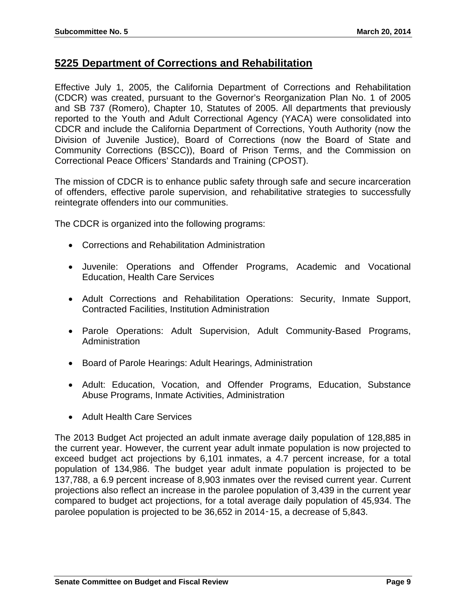## **5225 Department of Corrections and Rehabilitation**

Effective July 1, 2005, the California Department of Corrections and Rehabilitation (CDCR) was created, pursuant to the Governor's Reorganization Plan No. 1 of 2005 and SB 737 (Romero), Chapter 10, Statutes of 2005. All departments that previously reported to the Youth and Adult Correctional Agency (YACA) were consolidated into CDCR and include the California Department of Corrections, Youth Authority (now the Division of Juvenile Justice), Board of Corrections (now the Board of State and Community Corrections (BSCC)), Board of Prison Terms, and the Commission on Correctional Peace Officers' Standards and Training (CPOST).

The mission of CDCR is to enhance public safety through safe and secure incarceration of offenders, effective parole supervision, and rehabilitative strategies to successfully reintegrate offenders into our communities.

The CDCR is organized into the following programs:

- Corrections and Rehabilitation Administration
- Juvenile: Operations and Offender Programs, Academic and Vocational Education, Health Care Services
- Adult Corrections and Rehabilitation Operations: Security, Inmate Support, Contracted Facilities, Institution Administration
- Parole Operations: Adult Supervision, Adult Community-Based Programs, **Administration**
- Board of Parole Hearings: Adult Hearings, Administration
- Adult: Education, Vocation, and Offender Programs, Education, Substance Abuse Programs, Inmate Activities, Administration
- Adult Health Care Services

The 2013 Budget Act projected an adult inmate average daily population of 128,885 in the current year. However, the current year adult inmate population is now projected to exceed budget act projections by 6,101 inmates, a 4.7 percent increase, for a total population of 134,986. The budget year adult inmate population is projected to be 137,788, a 6.9 percent increase of 8,903 inmates over the revised current year. Current projections also reflect an increase in the parolee population of 3,439 in the current year compared to budget act projections, for a total average daily population of 45,934. The parolee population is projected to be 36,652 in 2014‑15, a decrease of 5,843.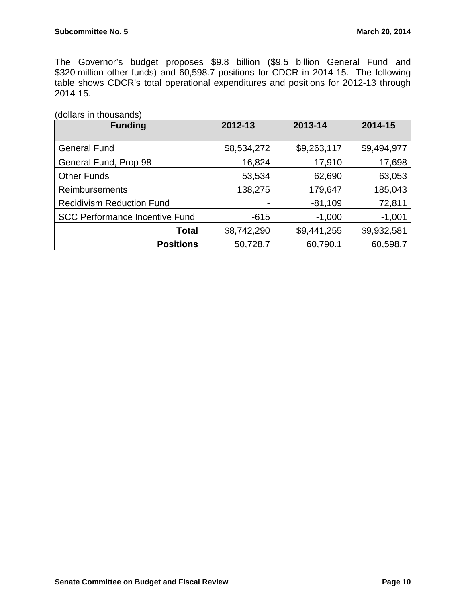The Governor's budget proposes \$9.8 billion (\$9.5 billion General Fund and \$320 million other funds) and 60,598.7 positions for CDCR in 2014-15. The following table shows CDCR's total operational expenditures and positions for 2012-13 through 2014-15.

(dollars in thousands)

| <b>Funding</b>                        | 2012-13     | 2013-14     | 2014-15     |
|---------------------------------------|-------------|-------------|-------------|
|                                       |             |             |             |
| <b>General Fund</b>                   | \$8,534,272 | \$9,263,117 | \$9,494,977 |
| General Fund, Prop 98                 | 16,824      | 17,910      | 17,698      |
| <b>Other Funds</b>                    | 53,534      | 62,690      | 63,053      |
| <b>Reimbursements</b>                 | 138,275     | 179,647     | 185,043     |
| <b>Recidivism Reduction Fund</b>      |             | $-81,109$   | 72,811      |
| <b>SCC Performance Incentive Fund</b> | $-615$      | $-1,000$    | $-1,001$    |
| Total                                 | \$8,742,290 | \$9,441,255 | \$9,932,581 |
| <b>Positions</b>                      | 50,728.7    | 60,790.1    | 60,598.7    |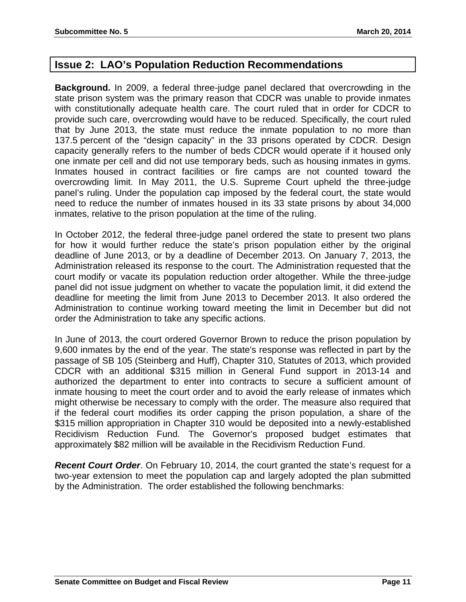## **Issue 2: LAO's Population Reduction Recommendations**

**Background.** In 2009, a federal three-judge panel declared that overcrowding in the state prison system was the primary reason that CDCR was unable to provide inmates with constitutionally adequate health care. The court ruled that in order for CDCR to provide such care, overcrowding would have to be reduced. Specifically, the court ruled that by June 2013, the state must reduce the inmate population to no more than 137.5 percent of the "design capacity" in the 33 prisons operated by CDCR. Design capacity generally refers to the number of beds CDCR would operate if it housed only one inmate per cell and did not use temporary beds, such as housing inmates in gyms. Inmates housed in contract facilities or fire camps are not counted toward the overcrowding limit. In May 2011, the U.S. Supreme Court upheld the three-judge panel's ruling. Under the population cap imposed by the federal court, the state would need to reduce the number of inmates housed in its 33 state prisons by about 34,000 inmates, relative to the prison population at the time of the ruling.

In October 2012, the federal three-judge panel ordered the state to present two plans for how it would further reduce the state's prison population either by the original deadline of June 2013, or by a deadline of December 2013. On January 7, 2013, the Administration released its response to the court. The Administration requested that the court modify or vacate its population reduction order altogether. While the three-judge panel did not issue judgment on whether to vacate the population limit, it did extend the deadline for meeting the limit from June 2013 to December 2013. It also ordered the Administration to continue working toward meeting the limit in December but did not order the Administration to take any specific actions.

In June of 2013, the court ordered Governor Brown to reduce the prison population by 9,600 inmates by the end of the year. The state's response was reflected in part by the passage of SB 105 (Steinberg and Huff), Chapter 310, Statutes of 2013, which provided CDCR with an additional \$315 million in General Fund support in 2013-14 and authorized the department to enter into contracts to secure a sufficient amount of inmate housing to meet the court order and to avoid the early release of inmates which might otherwise be necessary to comply with the order. The measure also required that if the federal court modifies its order capping the prison population, a share of the \$315 million appropriation in Chapter 310 would be deposited into a newly-established Recidivism Reduction Fund. The Governor's proposed budget estimates that approximately \$82 million will be available in the Recidivism Reduction Fund.

*Recent Court Order.* On February 10, 2014, the court granted the state's request for a two-year extension to meet the population cap and largely adopted the plan submitted by the Administration. The order established the following benchmarks: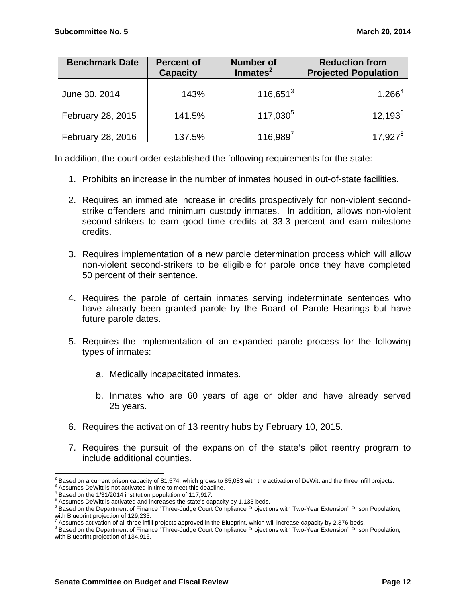| <b>Benchmark Date</b> | <b>Percent of</b><br><b>Capacity</b> | <b>Number of</b><br>Inmates <sup>2</sup> | <b>Reduction from</b><br><b>Projected Population</b> |
|-----------------------|--------------------------------------|------------------------------------------|------------------------------------------------------|
| June 30, 2014         | 143%                                 | $116,651^3$                              | $1,266^4$                                            |
|                       |                                      |                                          |                                                      |
| February 28, 2015     | 141.5%                               | $117,030^5$                              | $12,193^6$                                           |
| February 28, 2016     | 137.5%                               | $116,989^7$                              | $17,927^8$                                           |

In addition, the court order established the following requirements for the state:

- 1. Prohibits an increase in the number of inmates housed in out-of-state facilities.
- 2. Requires an immediate increase in credits prospectively for non-violent secondstrike offenders and minimum custody inmates. In addition, allows non-violent second-strikers to earn good time credits at 33.3 percent and earn milestone credits.
- 3. Requires implementation of a new parole determination process which will allow non-violent second-strikers to be eligible for parole once they have completed 50 percent of their sentence.
- 4. Requires the parole of certain inmates serving indeterminate sentences who have already been granted parole by the Board of Parole Hearings but have future parole dates.
- 5. Requires the implementation of an expanded parole process for the following types of inmates:
	- a. Medically incapacitated inmates.
	- b. Inmates who are 60 years of age or older and have already served 25 years.
- 6. Requires the activation of 13 reentry hubs by February 10, 2015.
- 7. Requires the pursuit of the expansion of the state's pilot reentry program to include additional counties.

 <sup>2</sup> Based on a current prison capacity of 81,574, which grows to 85,083 with the activation of DeWitt and the three infill projects.<br><sup>3</sup> Assumes DeWitt is not estivated in time to meet this deadline.

 $3$  Assumes DeWitt is not activated in time to meet this deadline.

<sup>&</sup>lt;sup>4</sup> Based on the 1/31/2014 institution population of 117,917.

 $^5$  Assumes DeWitt is activated and increases the state's capacity by 1,133 beds.<br> $^6$  Beaed on the Department of Finance "Three, Judge Court Compliance Prejection

 $6$  Based on the Department of Finance "Three-Judge Court Compliance Projections with Two-Year Extension" Prison Population, with Blueprint projection of 129,233.

Assumes activation of all three infill projects approved in the Blueprint, which will increase capacity by 2,376 beds.<br><sup>8</sup> Beasd as the Department of Finance "Three Judge Court Compliance Prejections with Two Year Extensi

Based on the Department of Finance "Three-Judge Court Compliance Projections with Two-Year Extension" Prison Population, with Blueprint projection of 134,916.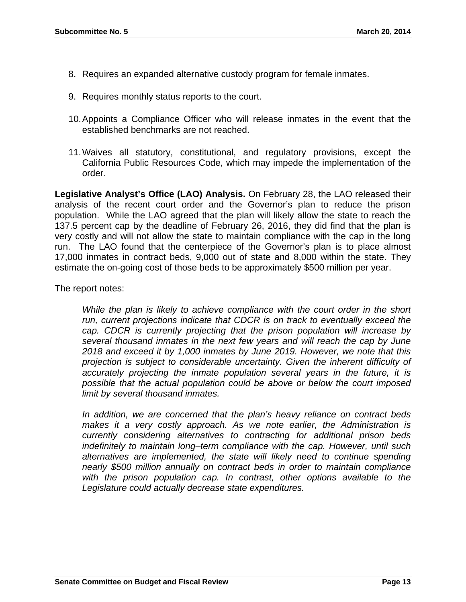- 8. Requires an expanded alternative custody program for female inmates.
- 9. Requires monthly status reports to the court.
- 10. Appoints a Compliance Officer who will release inmates in the event that the established benchmarks are not reached.
- 11. Waives all statutory, constitutional, and regulatory provisions, except the California Public Resources Code, which may impede the implementation of the order.

**Legislative Analyst's Office (LAO) Analysis.** On February 28, the LAO released their analysis of the recent court order and the Governor's plan to reduce the prison population. While the LAO agreed that the plan will likely allow the state to reach the 137.5 percent cap by the deadline of February 26, 2016, they did find that the plan is very costly and will not allow the state to maintain compliance with the cap in the long run. The LAO found that the centerpiece of the Governor's plan is to place almost 17,000 inmates in contract beds, 9,000 out of state and 8,000 within the state. They estimate the on-going cost of those beds to be approximately \$500 million per year.

The report notes:

*While the plan is likely to achieve compliance with the court order in the short run, current projections indicate that CDCR is on track to eventually exceed the cap. CDCR is currently projecting that the prison population will increase by several thousand inmates in the next few years and will reach the cap by June 2018 and exceed it by 1,000 inmates by June 2019. However, we note that this projection is subject to considerable uncertainty. Given the inherent difficulty of accurately projecting the inmate population several years in the future, it is possible that the actual population could be above or below the court imposed limit by several thousand inmates.* 

*In addition, we are concerned that the plan's heavy reliance on contract beds makes it a very costly approach. As we note earlier, the Administration is currently considering alternatives to contracting for additional prison beds indefinitely to maintain long–term compliance with the cap. However, until such alternatives are implemented, the state will likely need to continue spending nearly \$500 million annually on contract beds in order to maintain compliance*  with the prison population cap. In contrast, other options available to the *Legislature could actually decrease state expenditures.*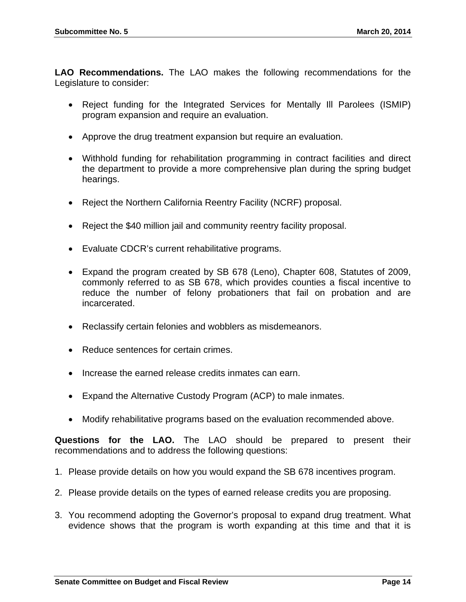**LAO Recommendations.** The LAO makes the following recommendations for the Legislature to consider:

- Reject funding for the Integrated Services for Mentally Ill Parolees (ISMIP) program expansion and require an evaluation.
- Approve the drug treatment expansion but require an evaluation.
- Withhold funding for rehabilitation programming in contract facilities and direct the department to provide a more comprehensive plan during the spring budget hearings.
- Reject the Northern California Reentry Facility (NCRF) proposal.
- Reject the \$40 million jail and community reentry facility proposal.
- Evaluate CDCR's current rehabilitative programs.
- Expand the program created by SB 678 (Leno), Chapter 608, Statutes of 2009, commonly referred to as SB 678, which provides counties a fiscal incentive to reduce the number of felony probationers that fail on probation and are incarcerated.
- Reclassify certain felonies and wobblers as misdemeanors.
- Reduce sentences for certain crimes.
- Increase the earned release credits inmates can earn.
- Expand the Alternative Custody Program (ACP) to male inmates.
- Modify rehabilitative programs based on the evaluation recommended above.

**Questions for the LAO.** The LAO should be prepared to present their recommendations and to address the following questions:

- 1. Please provide details on how you would expand the SB 678 incentives program.
- 2. Please provide details on the types of earned release credits you are proposing.
- 3. You recommend adopting the Governor's proposal to expand drug treatment. What evidence shows that the program is worth expanding at this time and that it is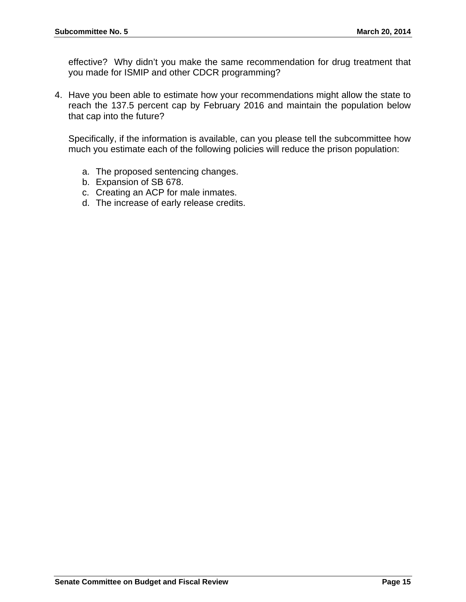effective? Why didn't you make the same recommendation for drug treatment that you made for ISMIP and other CDCR programming?

4. Have you been able to estimate how your recommendations might allow the state to reach the 137.5 percent cap by February 2016 and maintain the population below that cap into the future?

Specifically, if the information is available, can you please tell the subcommittee how much you estimate each of the following policies will reduce the prison population:

- a. The proposed sentencing changes.
- b. Expansion of SB 678.
- c. Creating an ACP for male inmates.
- d. The increase of early release credits.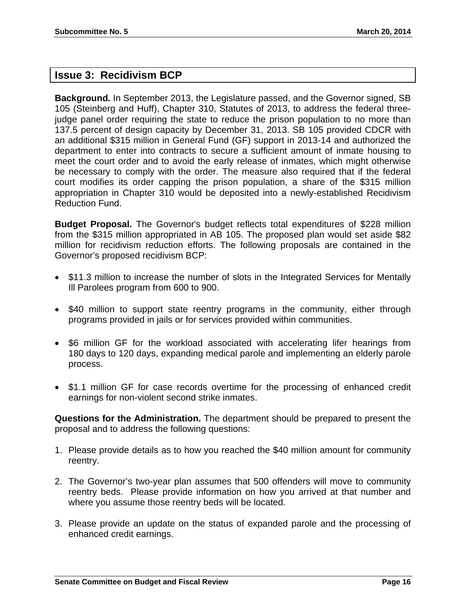### **Issue 3: Recidivism BCP**

**Background***.* In September 2013, the Legislature passed, and the Governor signed, SB 105 (Steinberg and Huff), Chapter 310, Statutes of 2013, to address the federal threejudge panel order requiring the state to reduce the prison population to no more than 137.5 percent of design capacity by December 31, 2013. SB 105 provided CDCR with an additional \$315 million in General Fund (GF) support in 2013-14 and authorized the department to enter into contracts to secure a sufficient amount of inmate housing to meet the court order and to avoid the early release of inmates, which might otherwise be necessary to comply with the order. The measure also required that if the federal court modifies its order capping the prison population, a share of the \$315 million appropriation in Chapter 310 would be deposited into a newly-established Recidivism Reduction Fund.

**Budget Proposal.** The Governor's budget reflects total expenditures of \$228 million from the \$315 million appropriated in AB 105. The proposed plan would set aside \$82 million for recidivism reduction efforts. The following proposals are contained in the Governor's proposed recidivism BCP:

- \$11.3 million to increase the number of slots in the Integrated Services for Mentally Ill Parolees program from 600 to 900.
- \$40 million to support state reentry programs in the community, either through programs provided in jails or for services provided within communities.
- \$6 million GF for the workload associated with accelerating lifer hearings from 180 days to 120 days, expanding medical parole and implementing an elderly parole process.
- \$1.1 million GF for case records overtime for the processing of enhanced credit earnings for non-violent second strike inmates.

**Questions for the Administration.** The department should be prepared to present the proposal and to address the following questions:

- 1. Please provide details as to how you reached the \$40 million amount for community reentry.
- 2. The Governor's two-year plan assumes that 500 offenders will move to community reentry beds. Please provide information on how you arrived at that number and where you assume those reentry beds will be located.
- 3. Please provide an update on the status of expanded parole and the processing of enhanced credit earnings.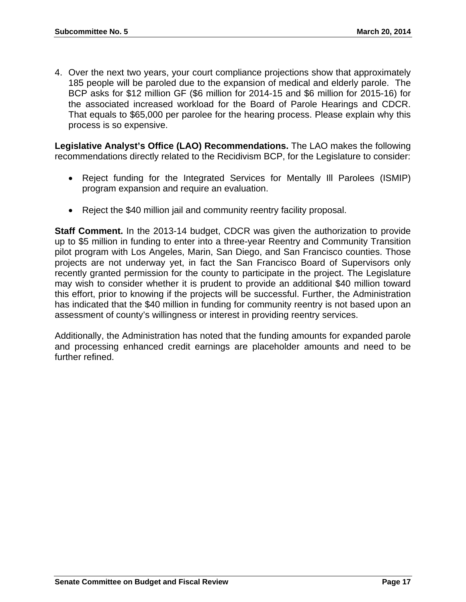4. Over the next two years, your court compliance projections show that approximately 185 people will be paroled due to the expansion of medical and elderly parole. The BCP asks for \$12 million GF (\$6 million for 2014-15 and \$6 million for 2015-16) for the associated increased workload for the Board of Parole Hearings and CDCR. That equals to \$65,000 per parolee for the hearing process. Please explain why this process is so expensive.

**Legislative Analyst's Office (LAO) Recommendations.** The LAO makes the following recommendations directly related to the Recidivism BCP, for the Legislature to consider:

- Reject funding for the Integrated Services for Mentally Ill Parolees (ISMIP) program expansion and require an evaluation.
- Reject the \$40 million jail and community reentry facility proposal.

**Staff Comment.** In the 2013-14 budget, CDCR was given the authorization to provide up to \$5 million in funding to enter into a three-year Reentry and Community Transition pilot program with Los Angeles, Marin, San Diego, and San Francisco counties. Those projects are not underway yet, in fact the San Francisco Board of Supervisors only recently granted permission for the county to participate in the project. The Legislature may wish to consider whether it is prudent to provide an additional \$40 million toward this effort, prior to knowing if the projects will be successful. Further, the Administration has indicated that the \$40 million in funding for community reentry is not based upon an assessment of county's willingness or interest in providing reentry services.

Additionally, the Administration has noted that the funding amounts for expanded parole and processing enhanced credit earnings are placeholder amounts and need to be further refined.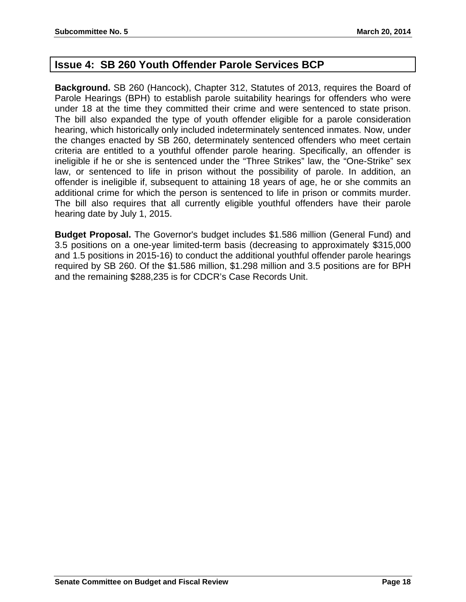## **Issue 4: SB 260 Youth Offender Parole Services BCP**

**Background.** SB 260 (Hancock), Chapter 312, Statutes of 2013, requires the Board of Parole Hearings (BPH) to establish parole suitability hearings for offenders who were under 18 at the time they committed their crime and were sentenced to state prison. The bill also expanded the type of youth offender eligible for a parole consideration hearing, which historically only included indeterminately sentenced inmates. Now, under the changes enacted by SB 260, determinately sentenced offenders who meet certain criteria are entitled to a youthful offender parole hearing. Specifically, an offender is ineligible if he or she is sentenced under the "Three Strikes" law, the "One-Strike" sex law, or sentenced to life in prison without the possibility of parole. In addition, an offender is ineligible if, subsequent to attaining 18 years of age, he or she commits an additional crime for which the person is sentenced to life in prison or commits murder. The bill also requires that all currently eligible youthful offenders have their parole hearing date by July 1, 2015.

**Budget Proposal.** The Governor's budget includes \$1.586 million (General Fund) and 3.5 positions on a one-year limited-term basis (decreasing to approximately \$315,000 and 1.5 positions in 2015-16) to conduct the additional youthful offender parole hearings required by SB 260. Of the \$1.586 million, \$1.298 million and 3.5 positions are for BPH and the remaining \$288,235 is for CDCR's Case Records Unit.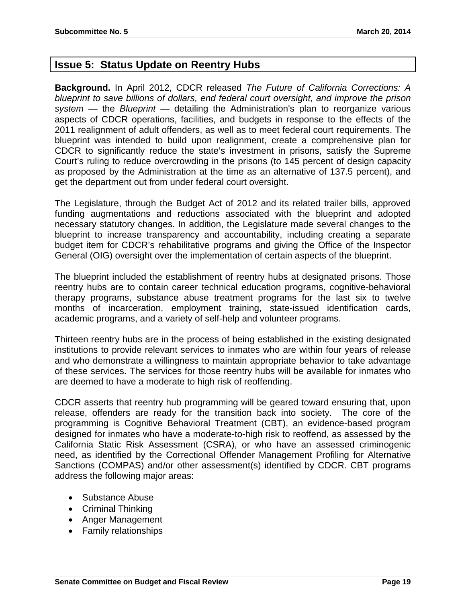## **Issue 5: Status Update on Reentry Hubs**

**Background.** In April 2012, CDCR released *The Future of California Corrections: A blueprint to save billions of dollars, end federal court oversight, and improve the prison system* — the *Blueprint* — detailing the Administration's plan to reorganize various aspects of CDCR operations, facilities, and budgets in response to the effects of the 2011 realignment of adult offenders, as well as to meet federal court requirements. The blueprint was intended to build upon realignment, create a comprehensive plan for CDCR to significantly reduce the state's investment in prisons, satisfy the Supreme Court's ruling to reduce overcrowding in the prisons (to 145 percent of design capacity as proposed by the Administration at the time as an alternative of 137.5 percent), and get the department out from under federal court oversight.

The Legislature, through the Budget Act of 2012 and its related trailer bills, approved funding augmentations and reductions associated with the blueprint and adopted necessary statutory changes. In addition, the Legislature made several changes to the blueprint to increase transparency and accountability, including creating a separate budget item for CDCR's rehabilitative programs and giving the Office of the Inspector General (OIG) oversight over the implementation of certain aspects of the blueprint.

The blueprint included the establishment of reentry hubs at designated prisons. Those reentry hubs are to contain career technical education programs, cognitive-behavioral therapy programs, substance abuse treatment programs for the last six to twelve months of incarceration, employment training, state-issued identification cards, academic programs, and a variety of self-help and volunteer programs.

Thirteen reentry hubs are in the process of being established in the existing designated institutions to provide relevant services to inmates who are within four years of release and who demonstrate a willingness to maintain appropriate behavior to take advantage of these services. The services for those reentry hubs will be available for inmates who are deemed to have a moderate to high risk of reoffending.

CDCR asserts that reentry hub programming will be geared toward ensuring that, upon release, offenders are ready for the transition back into society. The core of the programming is Cognitive Behavioral Treatment (CBT), an evidence-based program designed for inmates who have a moderate-to-high risk to reoffend, as assessed by the California Static Risk Assessment (CSRA), or who have an assessed criminogenic need, as identified by the Correctional Offender Management Profiling for Alternative Sanctions (COMPAS) and/or other assessment(s) identified by CDCR. CBT programs address the following major areas:

- Substance Abuse
- Criminal Thinking
- Anger Management
- Family relationships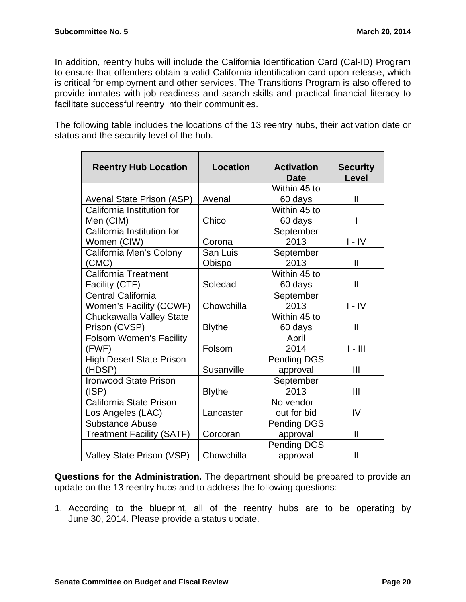In addition, reentry hubs will include the California Identification Card (Cal-ID) Program to ensure that offenders obtain a valid California identification card upon release, which is critical for employment and other services. The Transitions Program is also offered to provide inmates with job readiness and search skills and practical financial literacy to facilitate successful reentry into their communities.

The following table includes the locations of the 13 reentry hubs, their activation date or status and the security level of the hub.

| <b>Reentry Hub Location</b>      | <b>Location</b> | <b>Activation</b><br><b>Date</b> | <b>Security</b><br><b>Level</b> |
|----------------------------------|-----------------|----------------------------------|---------------------------------|
|                                  |                 | Within 45 to                     |                                 |
| Avenal State Prison (ASP)        | Avenal          | 60 days                          | $\mathbf{II}$                   |
| California Institution for       |                 | Within 45 to                     |                                 |
| Men (CIM)                        | Chico           | 60 days                          | ı                               |
| California Institution for       |                 | September                        |                                 |
| Women (CIW)                      | Corona          | 2013                             | I - IV                          |
| California Men's Colony          | San Luis        | September                        |                                 |
| (CMC)                            | Obispo          | 2013                             | $\mathbf{I}$                    |
| <b>California Treatment</b>      |                 | Within 45 to                     |                                 |
| Facility (CTF)                   | Soledad         | 60 days                          | $\mathbf{II}$                   |
| Central California               |                 | September                        |                                 |
| <b>Women's Facility (CCWF)</b>   | Chowchilla      | 2013                             | $I - IV$                        |
| Chuckawalla Valley State         |                 | Within 45 to                     |                                 |
| Prison (CVSP)                    | <b>Blythe</b>   | 60 days                          | $\mathbf{I}$                    |
| Folsom Women's Facility          |                 | April                            |                                 |
| (FWF)                            | Folsom          | 2014                             | $I - III$                       |
| <b>High Desert State Prison</b>  |                 | Pending DGS                      |                                 |
| (HDSP)                           | Susanville      | approval                         | III                             |
| <b>Ironwood State Prison</b>     |                 | September                        |                                 |
| (ISP)                            | <b>Blythe</b>   | 2013                             | III                             |
| California State Prison -        |                 | No vendor $-$                    |                                 |
| Los Angeles (LAC)                | Lancaster       | out for bid                      | IV                              |
| <b>Substance Abuse</b>           |                 | Pending DGS                      |                                 |
| <b>Treatment Facility (SATF)</b> | Corcoran        | approval                         | $\mathbf{II}$                   |
|                                  |                 | Pending DGS                      |                                 |
| Valley State Prison (VSP)        | Chowchilla      | approval                         | $\mathbf{I}$                    |

**Questions for the Administration.** The department should be prepared to provide an update on the 13 reentry hubs and to address the following questions:

1. According to the blueprint, all of the reentry hubs are to be operating by June 30, 2014. Please provide a status update.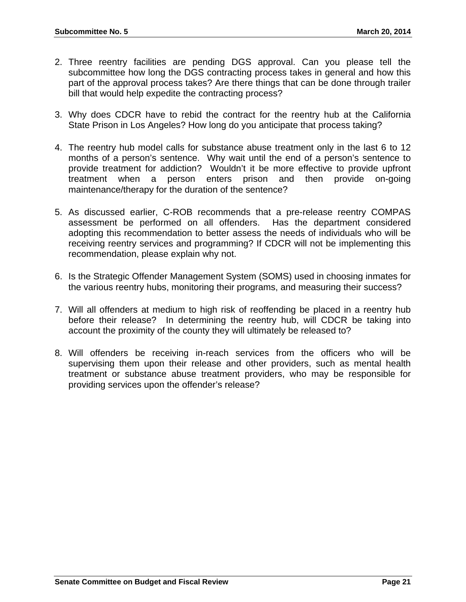- 2. Three reentry facilities are pending DGS approval. Can you please tell the subcommittee how long the DGS contracting process takes in general and how this part of the approval process takes? Are there things that can be done through trailer bill that would help expedite the contracting process?
- 3. Why does CDCR have to rebid the contract for the reentry hub at the California State Prison in Los Angeles? How long do you anticipate that process taking?
- 4. The reentry hub model calls for substance abuse treatment only in the last 6 to 12 months of a person's sentence. Why wait until the end of a person's sentence to provide treatment for addiction? Wouldn't it be more effective to provide upfront treatment when a person enters prison and then provide on-going maintenance/therapy for the duration of the sentence?
- 5. As discussed earlier, C-ROB recommends that a pre-release reentry COMPAS assessment be performed on all offenders. Has the department considered adopting this recommendation to better assess the needs of individuals who will be receiving reentry services and programming? If CDCR will not be implementing this recommendation, please explain why not.
- 6. Is the Strategic Offender Management System (SOMS) used in choosing inmates for the various reentry hubs, monitoring their programs, and measuring their success?
- 7. Will all offenders at medium to high risk of reoffending be placed in a reentry hub before their release? In determining the reentry hub, will CDCR be taking into account the proximity of the county they will ultimately be released to?
- 8. Will offenders be receiving in-reach services from the officers who will be supervising them upon their release and other providers, such as mental health treatment or substance abuse treatment providers, who may be responsible for providing services upon the offender's release?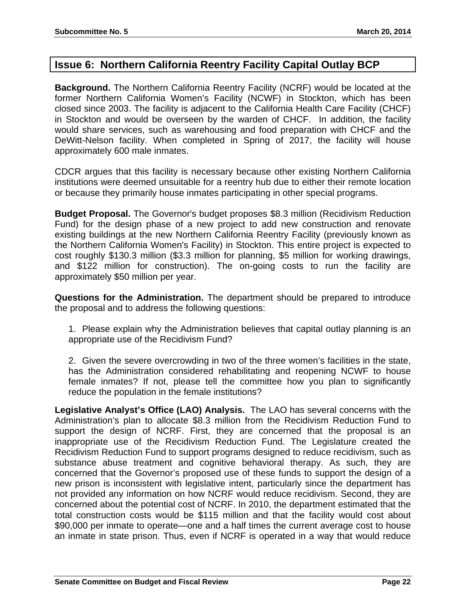## **Issue 6: Northern California Reentry Facility Capital Outlay BCP**

**Background.** The Northern California Reentry Facility (NCRF) would be located at the former Northern California Women's Facility (NCWF) in Stockton, which has been closed since 2003. The facility is adjacent to the California Health Care Facility (CHCF) in Stockton and would be overseen by the warden of CHCF. In addition, the facility would share services, such as warehousing and food preparation with CHCF and the DeWitt-Nelson facility. When completed in Spring of 2017, the facility will house approximately 600 male inmates.

CDCR argues that this facility is necessary because other existing Northern California institutions were deemed unsuitable for a reentry hub due to either their remote location or because they primarily house inmates participating in other special programs.

**Budget Proposal.** The Governor's budget proposes \$8.3 million (Recidivism Reduction Fund) for the design phase of a new project to add new construction and renovate existing buildings at the new Northern California Reentry Facility (previously known as the Northern California Women's Facility) in Stockton. This entire project is expected to cost roughly \$130.3 million (\$3.3 million for planning, \$5 million for working drawings, and \$122 million for construction). The on-going costs to run the facility are approximately \$50 million per year.

**Questions for the Administration.** The department should be prepared to introduce the proposal and to address the following questions:

1. Please explain why the Administration believes that capital outlay planning is an appropriate use of the Recidivism Fund?

2. Given the severe overcrowding in two of the three women's facilities in the state, has the Administration considered rehabilitating and reopening NCWF to house female inmates? If not, please tell the committee how you plan to significantly reduce the population in the female institutions?

**Legislative Analyst's Office (LAO) Analysis.** The LAO has several concerns with the Administration's plan to allocate \$8.3 million from the Recidivism Reduction Fund to support the design of NCRF. First, they are concerned that the proposal is an inappropriate use of the Recidivism Reduction Fund. The Legislature created the Recidivism Reduction Fund to support programs designed to reduce recidivism, such as substance abuse treatment and cognitive behavioral therapy. As such, they are concerned that the Governor's proposed use of these funds to support the design of a new prison is inconsistent with legislative intent, particularly since the department has not provided any information on how NCRF would reduce recidivism. Second, they are concerned about the potential cost of NCRF. In 2010, the department estimated that the total construction costs would be \$115 million and that the facility would cost about \$90,000 per inmate to operate—one and a half times the current average cost to house an inmate in state prison. Thus, even if NCRF is operated in a way that would reduce